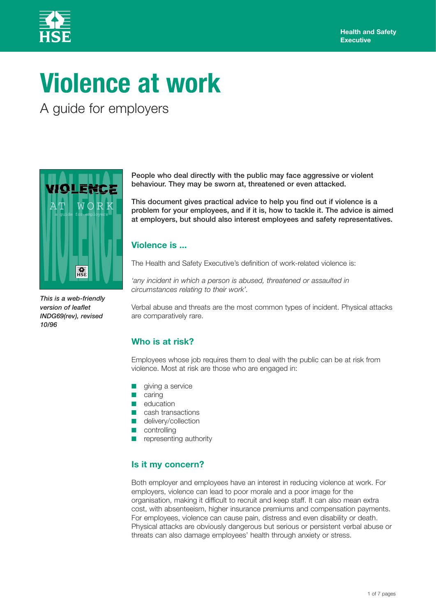

# **Violence at work**

A guide for employers



*This is a web-friendly version of leaflet INDG69(rev), revised 10/96*

**People who deal directly with the public may face aggressive or violent behaviour. They may be sworn at, threatened or even attacked.**

**This document gives practical advice to help you find out if violence is a problem for your employees, and if it is, how to tackle it. The advice is aimed at employers, but should also interest employees and safety representatives.**

# **Violence is ...**

The Health and Safety Executive's definition of work-related violence is:

*'any incident in which a person is abused, threatened or assaulted in circumstances relating to their work'.*

Verbal abuse and threats are the most common types of incident. Physical attacks are comparatively rare.

# **Who is at risk?**

Employees whose job requires them to deal with the public can be at risk from violence. Most at risk are those who are engaged in:

- giving a service
- caring
- education
- cash transactions
- delivery/collection
- controlling
- representing authority

# **Is it my concern?**

Both employer and employees have an interest in reducing violence at work. For employers, violence can lead to poor morale and a poor image for the organisation, making it difficult to recruit and keep staff. It can also mean extra cost, with absenteeism, higher insurance premiums and compensation payments. For employees, violence can cause pain, distress and even disability or death. Physical attacks are obviously dangerous but serious or persistent verbal abuse or threats can also damage employees' health through anxiety or stress.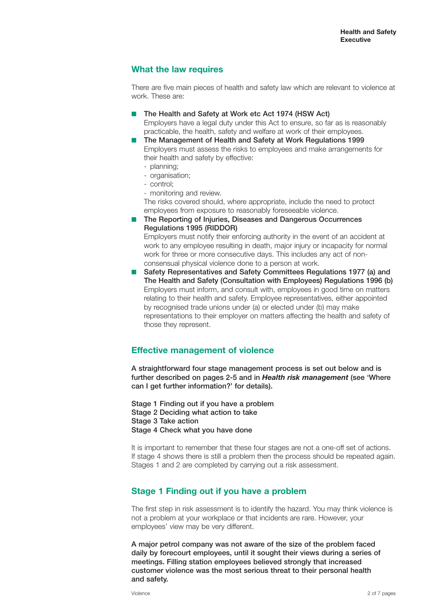# **What the law requires**

There are five main pieces of health and safety law which are relevant to violence at work. These are:

- The Health and Safety at Work etc Act 1974 (HSW Act) Employers have a legal duty under this Act to ensure, so far as is reasonably practicable, the health, safety and welfare at work of their employees.
- The Management of Health and Safety at Work Regulations 1999 Employers must assess the risks to employees and make arrangements for their health and safety by effective:
	- planning;
	- organisation;
	- control;
	- monitoring and review.

The risks covered should, where appropriate, include the need to protect employees from exposure to reasonably foreseeable violence.

■ **The Reporting of Injuries, Diseases and Dangerous Occurrences Regulations 1995 (RIDDOR)**

Employers must notify their enforcing authority in the event of an accident at work to any employee resulting in death, major injury or incapacity for normal work for three or more consecutive days. This includes any act of nonconsensual physical violence done to a person at work.

■ Safety Representatives and Safety Committees Regulations 1977 (a) and **The Health and Safety (Consultation with Employees) Regulations 1996 (b)** Employers must inform, and consult with, employees in good time on matters relating to their health and safety. Employee representatives, either appointed by recognised trade unions under (a) or elected under (b) may make representations to their employer on matters affecting the health and safety of those they represent.

# **Effective management of violence**

**A straightforward four stage management process is set out below and is further described on pages 2-5 and in** *Health risk management* **(see 'Where can I get further information?' for details).**

**Stage 1 Finding out if you have a problem Stage 2 Deciding what action to take Stage 3 Take action Stage 4 Check what you have done**

It is important to remember that these four stages are not a one-off set of actions. If stage 4 shows there is still a problem then the process should be repeated again. Stages 1 and 2 are completed by carrying out a risk assessment.

# **Stage 1 Finding out if you have a problem**

The first step in risk assessment is to identify the hazard. You may think violence is not a problem at your workplace or that incidents are rare. However, your employees' view may be very different.

**A major petrol company was not aware of the size of the problem faced daily by forecourt employees, until it sought their views during a series of meetings. Filling station employees believed strongly that increased customer violence was the most serious threat to their personal health and safety.**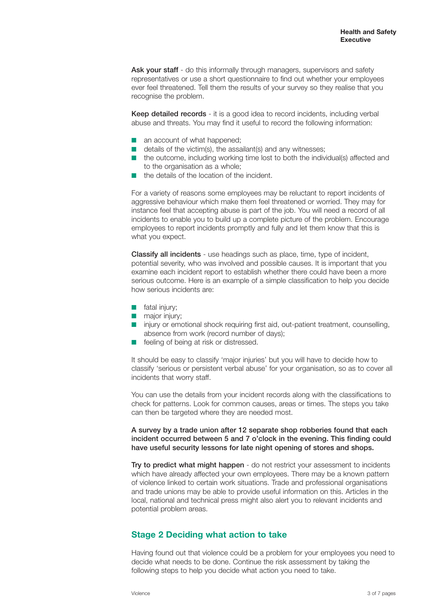Ask your staff - do this informally through managers, supervisors and safety representatives or use a short questionnaire to find out whether your employees ever feel threatened. Tell them the results of your survey so they realise that you recognise the problem.

**Keep detailed records** - it is a good idea to record incidents, including verbal abuse and threats. You may find it useful to record the following information:

- an account of what happened;
- details of the victim(s), the assailant(s) and any witnesses:
- the outcome, including working time lost to both the individual(s) affected and to the organisation as a whole;
- the details of the location of the incident

For a variety of reasons some employees may be reluctant to report incidents of aggressive behaviour which make them feel threatened or worried. They may for instance feel that accepting abuse is part of the job. You will need a record of all incidents to enable you to build up a complete picture of the problem. Encourage employees to report incidents promptly and fully and let them know that this is what you expect.

**Classify all incidents** - use headings such as place, time, type of incident, potential severity, who was involved and possible causes. It is important that you examine each incident report to establish whether there could have been a more serious outcome. Here is an example of a simple classification to help you decide how serious incidents are:

- fatal injury;
- major injury;
- injury or emotional shock requiring first aid, out-patient treatment, counselling, absence from work (record number of days);
- feeling of being at risk or distressed.

It should be easy to classify 'major injuries' but you will have to decide how to classify 'serious or persistent verbal abuse' for your organisation, so as to cover all incidents that worry staff.

You can use the details from your incident records along with the classifications to check for patterns. Look for common causes, areas or times. The steps you take can then be targeted where they are needed most.

#### **A survey by a trade union after 12 separate shop robberies found that each incident occurred between 5 and 7 o'clock in the evening. This finding could have useful security lessons for late night opening of stores and shops.**

**Try to predict what might happen** - do not restrict your assessment to incidents which have already affected your own employees. There may be a known pattern of violence linked to certain work situations. Trade and professional organisations and trade unions may be able to provide useful information on this. Articles in the local, national and technical press might also alert you to relevant incidents and potential problem areas.

# **Stage 2 Deciding what action to take**

Having found out that violence could be a problem for your employees you need to decide what needs to be done. Continue the risk assessment by taking the following steps to help you decide what action you need to take.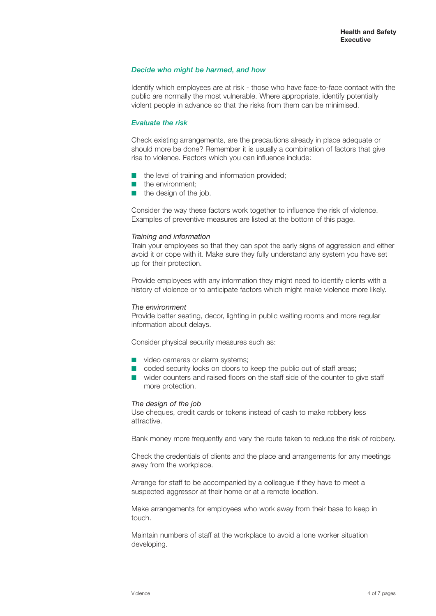#### *Decide who might be harmed, and how*

Identify which employees are at risk - those who have face-to-face contact with the public are normally the most vulnerable. Where appropriate, identify potentially violent people in advance so that the risks from them can be minimised.

#### *Evaluate the risk*

Check existing arrangements, are the precautions already in place adequate or should more be done? Remember it is usually a combination of factors that give rise to violence. Factors which you can influence include:

- the level of training and information provided:
- the environment:
- the design of the job.

Consider the way these factors work together to influence the risk of violence. Examples of preventive measures are listed at the bottom of this page.

#### *Training and information*

Train your employees so that they can spot the early signs of aggression and either avoid it or cope with it. Make sure they fully understand any system you have set up for their protection.

Provide employees with any information they might need to identify clients with a history of violence or to anticipate factors which might make violence more likely.

#### *The environment*

Provide better seating, decor, lighting in public waiting rooms and more regular information about delays.

Consider physical security measures such as:

- video cameras or alarm systems;
- coded security locks on doors to keep the public out of staff areas;
- wider counters and raised floors on the staff side of the counter to give staff more protection.

#### *The design of the job*

Use cheques, credit cards or tokens instead of cash to make robbery less attractive.

Bank money more frequently and vary the route taken to reduce the risk of robbery.

Check the credentials of clients and the place and arrangements for any meetings away from the workplace.

Arrange for staff to be accompanied by a colleague if they have to meet a suspected aggressor at their home or at a remote location.

Make arrangements for employees who work away from their base to keep in touch.

Maintain numbers of staff at the workplace to avoid a lone worker situation developing.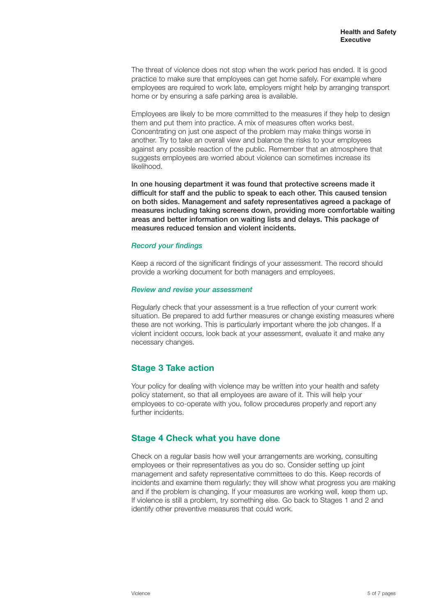The threat of violence does not stop when the work period has ended. It is good practice to make sure that employees can get home safely. For example where employees are required to work late, employers might help by arranging transport home or by ensuring a safe parking area is available.

Employees are likely to be more committed to the measures if they help to design them and put them into practice. A mix of measures often works best. Concentrating on just one aspect of the problem may make things worse in another. Try to take an overall view and balance the risks to your employees against any possible reaction of the public. Remember that an atmosphere that suggests employees are worried about violence can sometimes increase its likelihood.

**In one housing department it was found that protective screens made it difficult for staff and the public to speak to each other. This caused tension on both sides. Management and safety representatives agreed a package of measures including taking screens down, providing more comfortable waiting areas and better information on waiting lists and delays. This package of measures reduced tension and violent incidents.**

#### *Record your findings*

Keep a record of the significant findings of your assessment. The record should provide a working document for both managers and employees.

#### *Review and revise your assessment*

Regularly check that your assessment is a true reflection of your current work situation. Be prepared to add further measures or change existing measures where these are not working. This is particularly important where the job changes. If a violent incident occurs, look back at your assessment, evaluate it and make any necessary changes.

# **Stage 3 Take action**

Your policy for dealing with violence may be written into your health and safety policy statement, so that all employees are aware of it. This will help your employees to co-operate with you, follow procedures properly and report any further incidents.

# **Stage 4 Check what you have done**

Check on a regular basis how well your arrangements are working, consulting employees or their representatives as you do so. Consider setting up joint management and safety representative committees to do this. Keep records of incidents and examine them regularly; they will show what progress you are making and if the problem is changing. If your measures are working well, keep them up. If violence is still a problem, try something else. Go back to Stages 1 and 2 and identify other preventive measures that could work.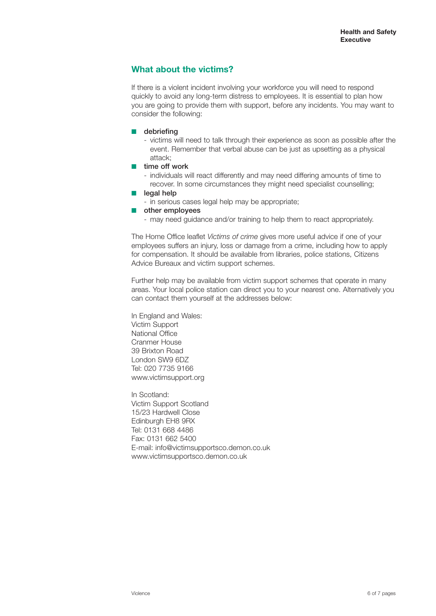# **What about the victims?**

If there is a violent incident involving your workforce you will need to respond quickly to avoid any long-term distress to employees. It is essential to plan how you are going to provide them with support, before any incidents. You may want to consider the following:

- **debriefing**
	- victims will need to talk through their experience as soon as possible after the event. Remember that verbal abuse can be just as upsetting as a physical attack;
- **time off work** 
	- individuals will react differently and may need differing amounts of time to recover. In some circumstances they might need specialist counselling;
- **legal help** 
	- in serious cases legal help may be appropriate;
- **other employees** 
	- may need guidance and/or training to help them to react appropriately.

The Home Office leaflet *Victims of crime* gives more useful advice if one of your employees suffers an injury, loss or damage from a crime, including how to apply for compensation. It should be available from libraries, police stations, Citizens Advice Bureaux and victim support schemes.

Further help may be available from victim support schemes that operate in many areas. Your local police station can direct you to your nearest one. Alternatively you can contact them yourself at the addresses below:

In England and Wales: Victim Support National Office Cranmer House 39 Brixton Road London SW9 6DZ Tel: 020 7735 9166 www.victimsupport.org

In Scotland: Victim Support Scotland 15/23 Hardwell Close Edinburgh EH8 9RX Tel: 0131 668 4486 Fax: 0131 662 5400 E-mail: info@victimsupportsco.demon.co.uk www.victimsupportsco.demon.co.uk